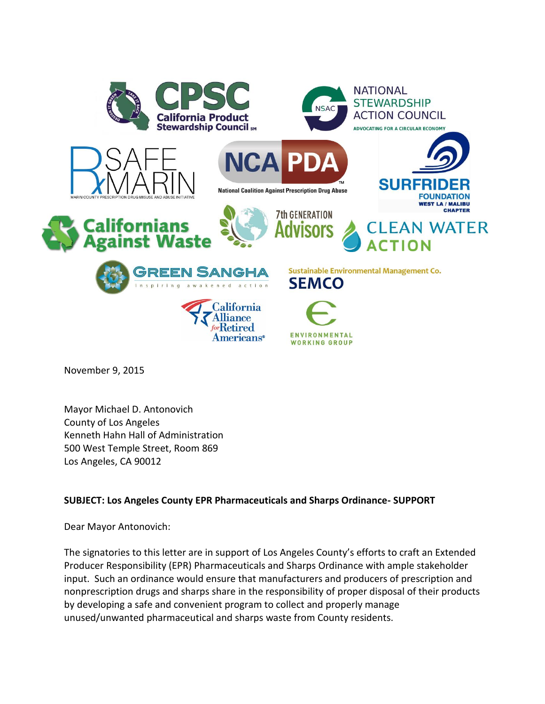

November 9, 2015

Mayor Michael D. Antonovich County of Los Angeles Kenneth Hahn Hall of Administration 500 West Temple Street, Room 869 Los Angeles, CA 90012

## **SUBJECT: Los Angeles County EPR Pharmaceuticals and Sharps Ordinance- SUPPORT**

Dear Mayor Antonovich:

The signatories to this letter are in support of Los Angeles County's efforts to craft an Extended Producer Responsibility (EPR) Pharmaceuticals and Sharps Ordinance with ample stakeholder input. Such an ordinance would ensure that manufacturers and producers of prescription and nonprescription drugs and sharps share in the responsibility of proper disposal of their products by developing a safe and convenient program to collect and properly manage unused/unwanted pharmaceutical and sharps waste from County residents.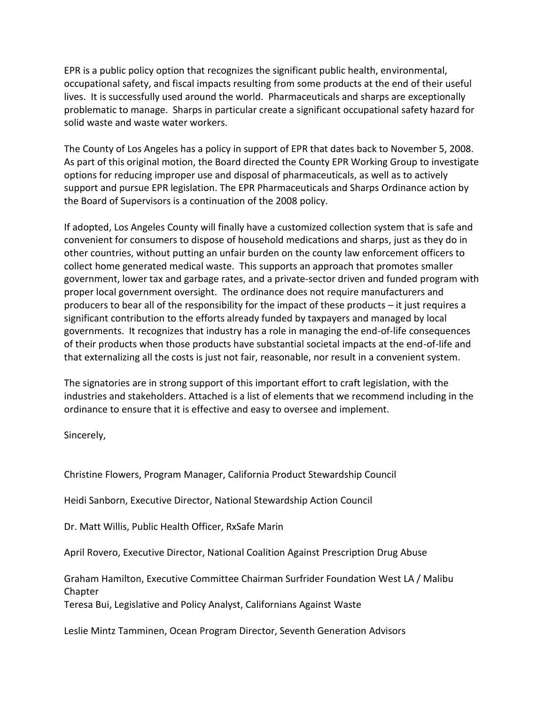EPR is a public policy option that recognizes the significant public health, environmental, occupational safety, and fiscal impacts resulting from some products at the end of their useful lives. It is successfully used around the world. Pharmaceuticals and sharps are exceptionally problematic to manage. Sharps in particular create a significant occupational safety hazard for solid waste and waste water workers.

The County of Los Angeles has a policy in support of EPR that dates back to November 5, 2008. As part of this original motion, the Board directed the County EPR Working Group to investigate options for reducing improper use and disposal of pharmaceuticals, as well as to actively support and pursue EPR legislation. The EPR Pharmaceuticals and Sharps Ordinance action by the Board of Supervisors is a continuation of the 2008 policy.

If adopted, Los Angeles County will finally have a customized collection system that is safe and convenient for consumers to dispose of household medications and sharps, just as they do in other countries, without putting an unfair burden on the county law enforcement officers to collect home generated medical waste. This supports an approach that promotes smaller government, lower tax and garbage rates, and a private-sector driven and funded program with proper local government oversight. The ordinance does not require manufacturers and producers to bear all of the responsibility for the impact of these products – it just requires a significant contribution to the efforts already funded by taxpayers and managed by local governments. It recognizes that industry has a role in managing the end-of-life consequences of their products when those products have substantial societal impacts at the end-of-life and that externalizing all the costs is just not fair, reasonable, nor result in a convenient system.

The signatories are in strong support of this important effort to craft legislation, with the industries and stakeholders. Attached is a list of elements that we recommend including in the ordinance to ensure that it is effective and easy to oversee and implement.

Sincerely,

Christine Flowers, Program Manager, California Product Stewardship Council

Heidi Sanborn, Executive Director, National Stewardship Action Council

Dr. Matt Willis, Public Health Officer, RxSafe Marin

April Rovero, Executive Director, National Coalition Against Prescription Drug Abuse

Graham Hamilton, Executive Committee Chairman Surfrider Foundation West LA / Malibu Chapter

Teresa Bui, Legislative and Policy Analyst, Californians Against Waste

Leslie Mintz Tamminen, Ocean Program Director, Seventh Generation Advisors